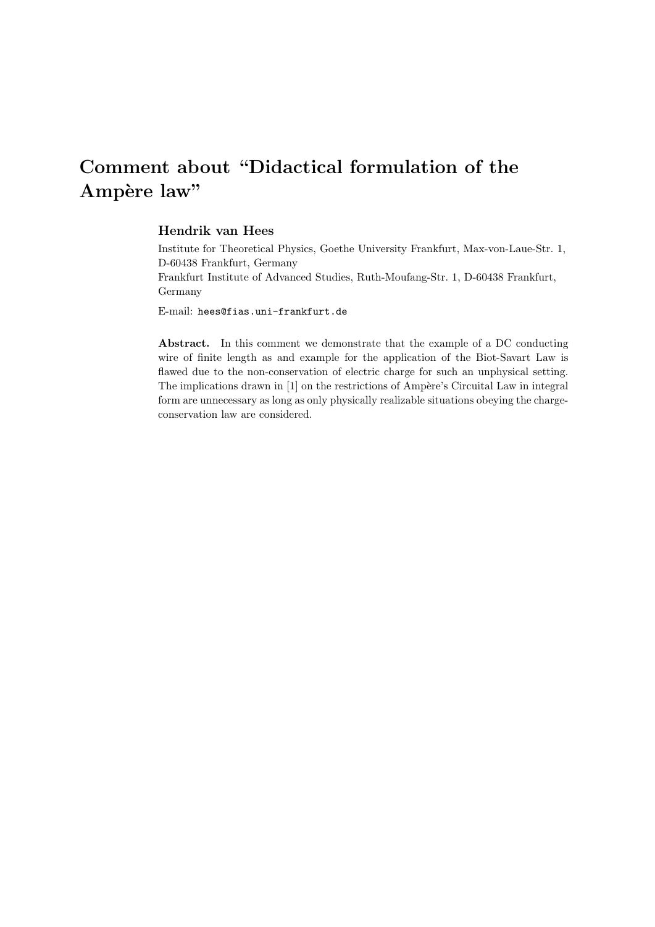# Comment about "Didactical formulation of the Ampère law"

### Hendrik van Hees

Institute for Theoretical Physics, Goethe University Frankfurt, Max-von-Laue-Str. 1, D-60438 Frankfurt, Germany

Frankfurt Institute of Advanced Studies, Ruth-Moufang-Str. 1, D-60438 Frankfurt, Germany

E-mail: hees@fias.uni-frankfurt.de

Abstract. In this comment we demonstrate that the example of a DC conducting wire of finite length as and example for the application of the Biot-Savart Law is flawed due to the non-conservation of electric charge for such an unphysical setting. The implications drawn in  $[1]$  on the restrictions of Ampère's Circuital Law in integral form are unnecessary as long as only physically realizable situations obeying the chargeconservation law are considered.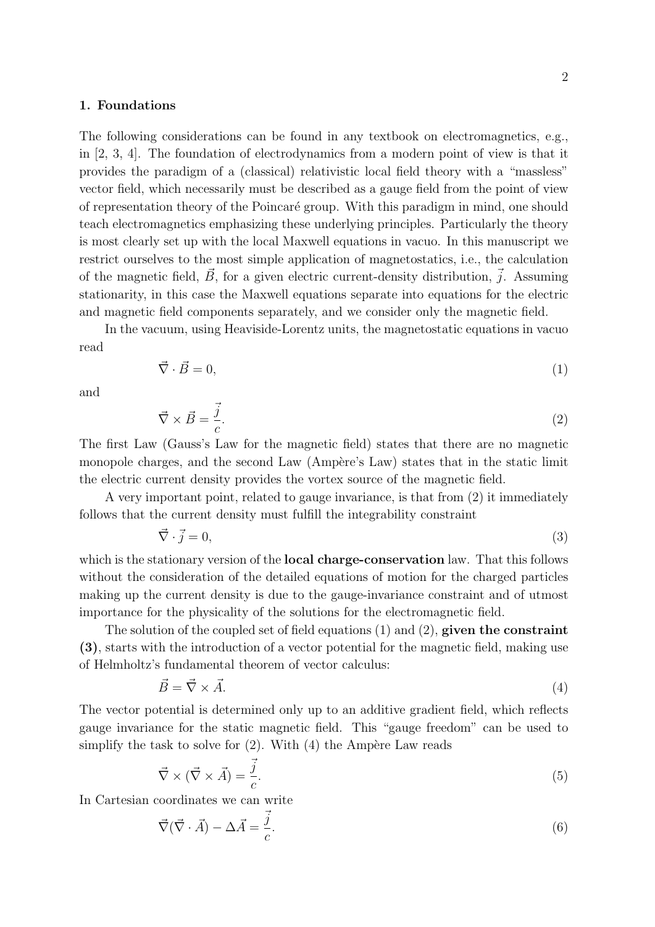## 1. Foundations

The following considerations can be found in any textbook on electromagnetics, e.g., in [2, 3, 4]. The foundation of electrodynamics from a modern point of view is that it provides the paradigm of a (classical) relativistic local field theory with a "massless" vector field, which necessarily must be described as a gauge field from the point of view of representation theory of the Poincar´e group. With this paradigm in mind, one should teach electromagnetics emphasizing these underlying principles. Particularly the theory is most clearly set up with the local Maxwell equations in vacuo. In this manuscript we restrict ourselves to the most simple application of magnetostatics, i.e., the calculation of the magnetic field,  $\vec{B}$ , for a given electric current-density distribution,  $\vec{j}$ . Assuming stationarity, in this case the Maxwell equations separate into equations for the electric and magnetic field components separately, and we consider only the magnetic field.

In the vacuum, using Heaviside-Lorentz units, the magnetostatic equations in vacuo read

$$
\vec{\nabla} \cdot \vec{B} = 0,\tag{1}
$$

and

$$
\vec{\nabla} \times \vec{B} = \frac{\vec{j}}{c}.
$$

The first Law (Gauss's Law for the magnetic field) states that there are no magnetic monopole charges, and the second Law (Ampère's Law) states that in the static limit the electric current density provides the vortex source of the magnetic field.

A very important point, related to gauge invariance, is that from (2) it immediately follows that the current density must fulfill the integrability constraint

$$
\vec{\nabla} \cdot \vec{j} = 0,\tag{3}
$$

which is the stationary version of the **local charge-conservation** law. That this follows without the consideration of the detailed equations of motion for the charged particles making up the current density is due to the gauge-invariance constraint and of utmost importance for the physicality of the solutions for the electromagnetic field.

The solution of the coupled set of field equations  $(1)$  and  $(2)$ , given the constraint (3), starts with the introduction of a vector potential for the magnetic field, making use of Helmholtz's fundamental theorem of vector calculus:

$$
\vec{B} = \vec{\nabla} \times \vec{A}.\tag{4}
$$

The vector potential is determined only up to an additive gradient field, which reflects gauge invariance for the static magnetic field. This "gauge freedom" can be used to simplify the task to solve for  $(2)$ . With  $(4)$  the Ampère Law reads

$$
\vec{\nabla} \times (\vec{\nabla} \times \vec{A}) = \frac{\vec{j}}{c}.
$$
\n(5)

In Cartesian coordinates we can write

$$
\vec{\nabla}(\vec{\nabla} \cdot \vec{A}) - \Delta \vec{A} = \frac{\vec{j}}{c}.
$$
\n(6)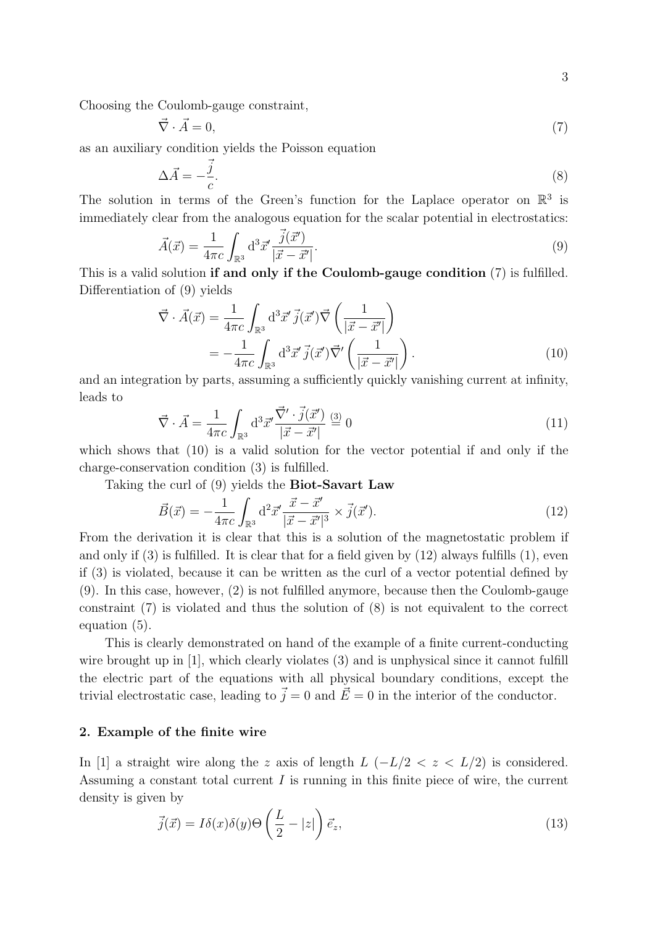Choosing the Coulomb-gauge constraint,

$$
\vec{\nabla} \cdot \vec{A} = 0,\tag{7}
$$

as an auxiliary condition yields the Poisson equation

$$
\Delta \vec{A} = -\frac{\vec{j}}{c}.\tag{8}
$$

The solution in terms of the Green's function for the Laplace operator on  $\mathbb{R}^3$  is immediately clear from the analogous equation for the scalar potential in electrostatics:

$$
\vec{A}(\vec{x}) = \frac{1}{4\pi c} \int_{\mathbb{R}^3} d^3 \vec{x}' \frac{\vec{j}(\vec{x}')}{|\vec{x} - \vec{x}'|}.
$$
\n(9)

This is a valid solution if and only if the Coulomb-gauge condition (7) is fulfilled. Differentiation of (9) yields

$$
\vec{\nabla} \cdot \vec{A}(\vec{x}) = \frac{1}{4\pi c} \int_{\mathbb{R}^3} d^3 \vec{x}' \, \vec{j}(\vec{x}') \vec{\nabla} \left( \frac{1}{|\vec{x} - \vec{x}'|} \right)
$$
\n
$$
= -\frac{1}{4\pi c} \int_{\mathbb{R}^3} d^3 \vec{x}' \, \vec{j}(\vec{x}') \vec{\nabla}' \left( \frac{1}{|\vec{x} - \vec{x}'|} \right).
$$
\n(10)

and an integration by parts, assuming a sufficiently quickly vanishing current at infinity, leads to

$$
\vec{\nabla} \cdot \vec{A} = \frac{1}{4\pi c} \int_{\mathbb{R}^3} d^3 \vec{x}' \frac{\vec{\nabla'} \cdot \vec{j}(\vec{x}')}{|\vec{x} - \vec{x}'|} \stackrel{(3)}{=} 0 \tag{11}
$$

which shows that (10) is a valid solution for the vector potential if and only if the charge-conservation condition (3) is fulfilled.

Taking the curl of (9) yields the Biot-Savart Law

$$
\vec{B}(\vec{x}) = -\frac{1}{4\pi c} \int_{\mathbb{R}^3} d^2 \vec{x}' \frac{\vec{x} - \vec{x}'}{|\vec{x} - \vec{x}'|^3} \times \vec{j}(\vec{x}'). \tag{12}
$$

From the derivation it is clear that this is a solution of the magnetostatic problem if and only if  $(3)$  is fulfilled. It is clear that for a field given by  $(12)$  always fulfills  $(1)$ , even if (3) is violated, because it can be written as the curl of a vector potential defined by (9). In this case, however, (2) is not fulfilled anymore, because then the Coulomb-gauge constraint (7) is violated and thus the solution of (8) is not equivalent to the correct equation (5).

This is clearly demonstrated on hand of the example of a finite current-conducting wire brought up in [1], which clearly violates (3) and is unphysical since it cannot fulfill the electric part of the equations with all physical boundary conditions, except the trivial electrostatic case, leading to  $\vec{j} = 0$  and  $\vec{E} = 0$  in the interior of the conductor.

#### 2. Example of the finite wire

In [1] a straight wire along the z axis of length  $L$  ( $-L/2 < z < L/2$ ) is considered. Assuming a constant total current  $I$  is running in this finite piece of wire, the current density is given by

$$
\vec{j}(\vec{x}) = I\delta(x)\delta(y)\Theta\left(\frac{L}{2} - |z|\right)\vec{e}_z,\tag{13}
$$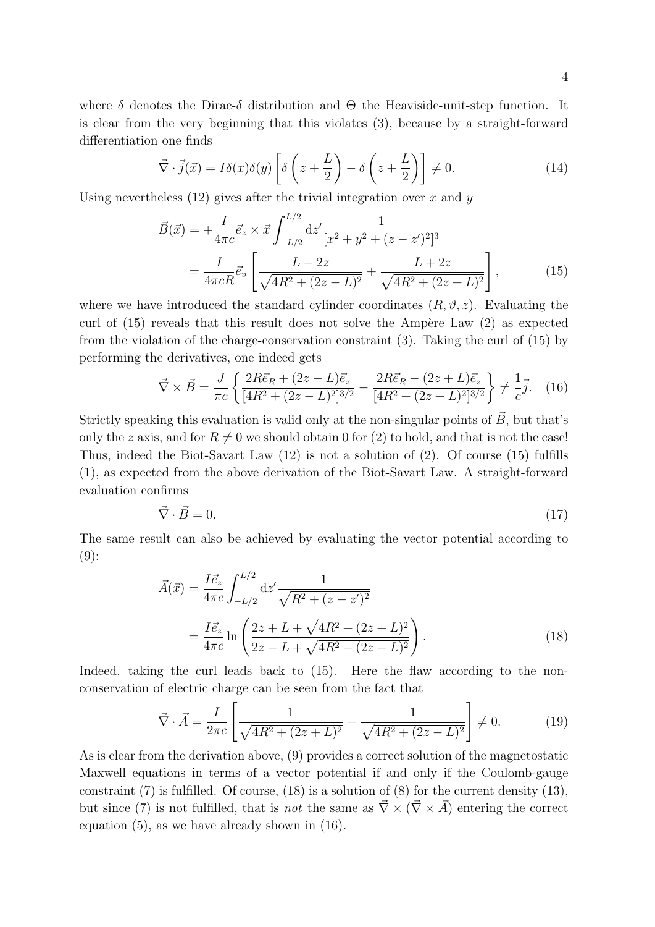where  $\delta$  denotes the Dirac- $\delta$  distribution and  $\Theta$  the Heaviside-unit-step function. It is clear from the very beginning that this violates (3), because by a straight-forward differentiation one finds

$$
\vec{\nabla} \cdot \vec{j}(\vec{x}) = I\delta(x)\delta(y) \left[ \delta\left(z + \frac{L}{2}\right) - \delta\left(z + \frac{L}{2}\right) \right] \neq 0. \tag{14}
$$

Using nevertheless  $(12)$  gives after the trivial integration over x and y

$$
\vec{B}(\vec{x}) = +\frac{I}{4\pi c} \vec{e}_z \times \vec{x} \int_{-L/2}^{L/2} dz' \frac{1}{[x^2 + y^2 + (z - z')^2]^3}
$$
\n
$$
= \frac{I}{4\pi c R} \vec{e}_\vartheta \left[ \frac{L - 2z}{\sqrt{4R^2 + (2z - L)^2}} + \frac{L + 2z}{\sqrt{4R^2 + (2z + L)^2}} \right],\tag{15}
$$

where we have introduced the standard cylinder coordinates  $(R, \vartheta, z)$ . Evaluating the curl of  $(15)$  reveals that this result does not solve the Ampère Law  $(2)$  as expected from the violation of the charge-conservation constraint (3). Taking the curl of (15) by performing the derivatives, one indeed gets

$$
\vec{\nabla} \times \vec{B} = \frac{J}{\pi c} \left\{ \frac{2R\vec{e}_R + (2z - L)\vec{e}_z}{[4R^2 + (2z - L)^2]^{3/2}} - \frac{2R\vec{e}_R - (2z + L)\vec{e}_z}{[4R^2 + (2z + L)^2]^{3/2}} \right\} \neq \frac{1}{c} \vec{j}.
$$
 (16)

Strictly speaking this evaluation is valid only at the non-singular points of  $\vec{B}$ , but that's only the z axis, and for  $R \neq 0$  we should obtain 0 for (2) to hold, and that is not the case! Thus, indeed the Biot-Savart Law (12) is not a solution of (2). Of course (15) fulfills (1), as expected from the above derivation of the Biot-Savart Law. A straight-forward evaluation confirms

$$
\vec{\nabla} \cdot \vec{B} = 0. \tag{17}
$$

The same result can also be achieved by evaluating the vector potential according to  $(9)$ :

$$
\vec{A}(\vec{x}) = \frac{I\vec{e}_z}{4\pi c} \int_{-L/2}^{L/2} dz' \frac{1}{\sqrt{R^2 + (z - z')^2}} \n= \frac{I\vec{e}_z}{4\pi c} \ln \left( \frac{2z + L + \sqrt{4R^2 + (2z + L)^2}}{2z - L + \sqrt{4R^2 + (2z - L)^2}} \right).
$$
\n(18)

Indeed, taking the curl leads back to  $(15)$ . Here the flaw according to the nonconservation of electric charge can be seen from the fact that

$$
\vec{\nabla} \cdot \vec{A} = \frac{I}{2\pi c} \left[ \frac{1}{\sqrt{4R^2 + (2z + L)^2}} - \frac{1}{\sqrt{4R^2 + (2z - L)^2}} \right] \neq 0. \tag{19}
$$

As is clear from the derivation above, (9) provides a correct solution of the magnetostatic Maxwell equations in terms of a vector potential if and only if the Coulomb-gauge constraint  $(7)$  is fulfilled. Of course,  $(18)$  is a solution of  $(8)$  for the current density  $(13)$ , but since (7) is not fulfilled, that is *not* the same as  $\vec{\nabla} \times (\vec{\nabla} \times \vec{A})$  entering the correct equation (5), as we have already shown in (16).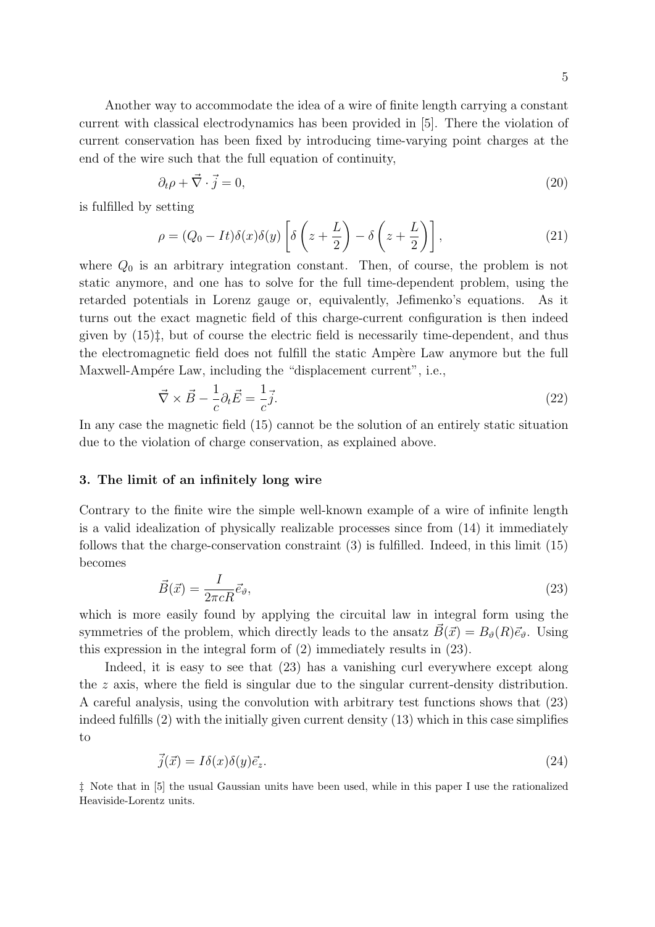Another way to accommodate the idea of a wire of finite length carrying a constant current with classical electrodynamics has been provided in [5]. There the violation of current conservation has been fixed by introducing time-varying point charges at the end of the wire such that the full equation of continuity,

$$
\partial_t \rho + \vec{\nabla} \cdot \vec{j} = 0,\tag{20}
$$

is fulfilled by setting

$$
\rho = (Q_0 - It)\delta(x)\delta(y)\left[\delta\left(z + \frac{L}{2}\right) - \delta\left(z + \frac{L}{2}\right)\right],\tag{21}
$$

where  $Q_0$  is an arbitrary integration constant. Then, of course, the problem is not static anymore, and one has to solve for the full time-dependent problem, using the retarded potentials in Lorenz gauge or, equivalently, Jefimenko's equations. As it turns out the exact magnetic field of this charge-current configuration is then indeed given by  $(15)\ddagger$ , but of course the electric field is necessarily time-dependent, and thus the electromagnetic field does not fulfill the static Ampère Law anymore but the full Maxwell-Ampére Law, including the "displacement current", i.e.,

$$
\vec{\nabla} \times \vec{B} - \frac{1}{c} \partial_t \vec{E} = \frac{1}{c} \vec{j}.
$$
\n(22)

In any case the magnetic field (15) cannot be the solution of an entirely static situation due to the violation of charge conservation, as explained above.

## 3. The limit of an infinitely long wire

Contrary to the finite wire the simple well-known example of a wire of infinite length is a valid idealization of physically realizable processes since from (14) it immediately follows that the charge-conservation constraint (3) is fulfilled. Indeed, in this limit (15) becomes

$$
\vec{B}(\vec{x}) = \frac{I}{2\pi cR}\vec{e}_{\theta},\tag{23}
$$

which is more easily found by applying the circuital law in integral form using the symmetries of the problem, which directly leads to the ansatz  $\vec{B}(\vec{x}) = B_{\theta}(R)\vec{e}_{\theta}$ . Using this expression in the integral form of (2) immediately results in (23).

Indeed, it is easy to see that (23) has a vanishing curl everywhere except along the z axis, where the field is singular due to the singular current-density distribution. A careful analysis, using the convolution with arbitrary test functions shows that (23) indeed fulfills (2) with the initially given current density (13) which in this case simplifies to

$$
\vec{j}(\vec{x}) = I\delta(x)\delta(y)\vec{e}_z.
$$
\n(24)

‡ Note that in [5] the usual Gaussian units have been used, while in this paper I use the rationalized Heaviside-Lorentz units.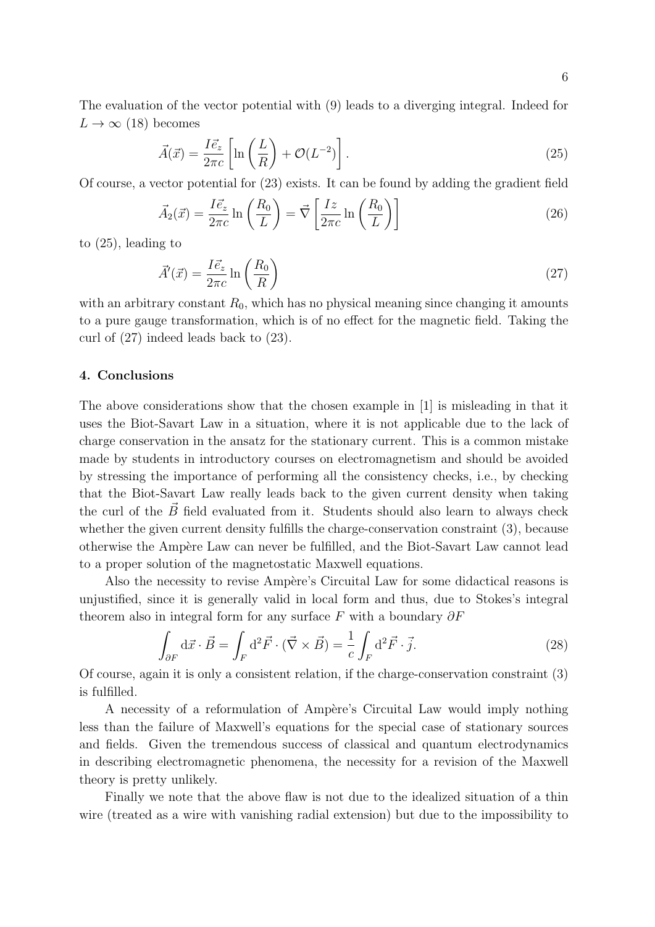The evaluation of the vector potential with (9) leads to a diverging integral. Indeed for  $L \rightarrow \infty$  (18) becomes

$$
\vec{A}(\vec{x}) = \frac{I\vec{e}_z}{2\pi c} \left[ \ln\left(\frac{L}{R}\right) + \mathcal{O}(L^{-2}) \right]. \tag{25}
$$

Of course, a vector potential for (23) exists. It can be found by adding the gradient field

$$
\vec{A}_2(\vec{x}) = \frac{I\vec{e}_z}{2\pi c} \ln\left(\frac{R_0}{L}\right) = \vec{\nabla} \left[\frac{Iz}{2\pi c} \ln\left(\frac{R_0}{L}\right)\right]
$$
\n(26)

to (25), leading to

$$
\vec{A}'(\vec{x}) = \frac{I\vec{e}_z}{2\pi c} \ln\left(\frac{R_0}{R}\right) \tag{27}
$$

with an arbitrary constant  $R_0$ , which has no physical meaning since changing it amounts to a pure gauge transformation, which is of no effect for the magnetic field. Taking the curl of (27) indeed leads back to (23).

#### 4. Conclusions

The above considerations show that the chosen example in [1] is misleading in that it uses the Biot-Savart Law in a situation, where it is not applicable due to the lack of charge conservation in the ansatz for the stationary current. This is a common mistake made by students in introductory courses on electromagnetism and should be avoided by stressing the importance of performing all the consistency checks, i.e., by checking that the Biot-Savart Law really leads back to the given current density when taking the curl of the  $\vec{B}$  field evaluated from it. Students should also learn to always check whether the given current density fulfills the charge-conservation constraint  $(3)$ , because otherwise the Ampère Law can never be fulfilled, and the Biot-Savart Law cannot lead to a proper solution of the magnetostatic Maxwell equations.

Also the necessity to revise Ampère's Circuital Law for some didactical reasons is unjustified, since it is generally valid in local form and thus, due to Stokes's integral theorem also in integral form for any surface  $F$  with a boundary  $\partial F$ 

$$
\int_{\partial F} d\vec{x} \cdot \vec{B} = \int_{F} d^{2} \vec{F} \cdot (\vec{\nabla} \times \vec{B}) = \frac{1}{c} \int_{F} d^{2} \vec{F} \cdot \vec{j}.
$$
\n(28)

Of course, again it is only a consistent relation, if the charge-conservation constraint (3) is fulfilled.

A necessity of a reformulation of Ampère's Circuital Law would imply nothing less than the failure of Maxwell's equations for the special case of stationary sources and fields. Given the tremendous success of classical and quantum electrodynamics in describing electromagnetic phenomena, the necessity for a revision of the Maxwell theory is pretty unlikely.

Finally we note that the above flaw is not due to the idealized situation of a thin wire (treated as a wire with vanishing radial extension) but due to the impossibility to